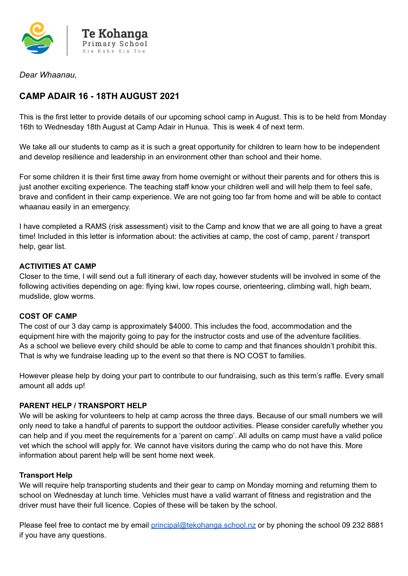

*Dear Whaanau,*

## **CAMP ADAIR 16 - 18TH AUGUST 2021**

This is the first letter to provide details of our upcoming school camp in August. This is to be held from Monday 16th to Wednesday 18th August at Camp Adair in Hunua. This is week 4 of next term.

We take all our students to camp as it is such a great opportunity for children to learn how to be independent and develop resilience and leadership in an environment other than school and their home.

For some children it is their first time away from home overnight or without their parents and for others this is just another exciting experience. The teaching staff know your children well and will help them to feel safe, brave and confident in their camp experience. We are not going too far from home and will be able to contact whaanau easily in an emergency.

I have completed a RAMS (risk assessment) visit to the Camp and know that we are all going to have a great time! Included in this letter is information about: the activities at camp, the cost of camp, parent / transport help, gear list.

#### **ACTIVITIES AT CAMP**

Closer to the time, I will send out a full itinerary of each day, however students will be involved in some of the following activities depending on age: flying kiwi, low ropes course, orienteering, climbing wall, high beam, mudslide, glow worms.

### **COST OF CAMP**

The cost of our 3 day camp is approximately \$4000. This includes the food, accommodation and the equipment hire with the majority going to pay for the instructor costs and use of the adventure facilities. As a school we believe every child should be able to come to camp and that finances shouldn't prohibit this. That is why we fundraise leading up to the event so that there is NO COST to families.

However please help by doing your part to contribute to our fundraising, such as this term's raffle. Every small amount all adds up!

### **PARENT HELP / TRANSPORT HELP**

We will be asking for volunteers to help at camp across the three days. Because of our small numbers we will only need to take a handful of parents to support the outdoor activities. Please consider carefully whether you can help and if you meet the requirements for a 'parent on camp'. All adults on camp must have a valid police vet which the school will apply for. We cannot have visitors during the camp who do not have this. More information about parent help will be sent home next week.

#### **Transport Help**

We will require help transporting students and their gear to camp on Monday morning and returning them to school on Wednesday at lunch time. Vehicles must have a valid warrant of fitness and registration and the driver must have their full licence. Copies of these will be taken by the school.

Please feel free to contact me by email [principal@tekohanga.school.nz](mailto:principal@tekohanga.school.nz) or by phoning the school 09 232 8881 if you have any questions.